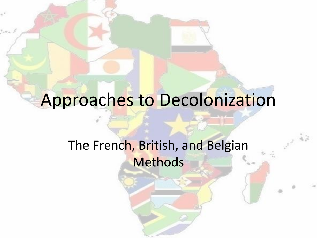# Approaches to Decolonization

#### The French, British, and Belgian Methods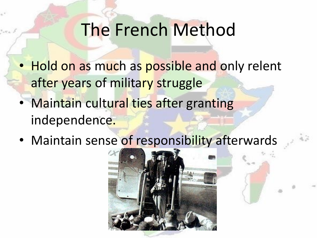#### The French Method

- Hold on as much as possible and only relent after years of military struggle
- Maintain cultural ties after granting independence.
- Maintain sense of responsibility afterwards

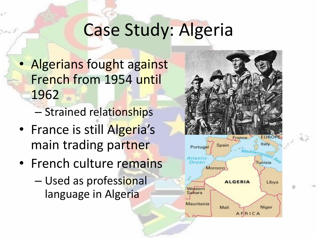# Case Study: Algeria

- Algerians fought against French from 1954 until 1962
	- Strained relationships
- France is still Algeria's main trading partner
- French culture remains
	- Used as professional language in Algeria

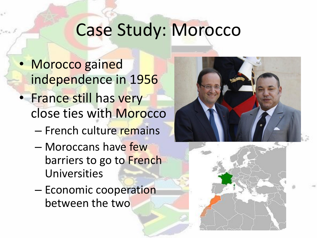#### Case Study: Morocco

- Morocco gained independence in 1956 • France still has very close ties with Morocco
	- French culture remains
	- Moroccans have few barriers to go to French Universities
	- Economic cooperation between the two



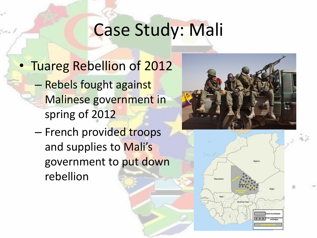# Case Study: Mali

- Tuareg Rebellion of 2012 – Rebels fought against Malinese government in spring of 2012
	- French provided troops and supplies to Mali's government to put down rebellion



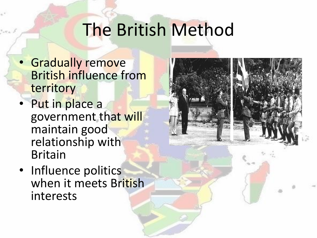## The British Method

- Gradually remove British influence from territory
- Put in place a government that will maintain good relationship with Britain
- Influence politics when it meets British interests

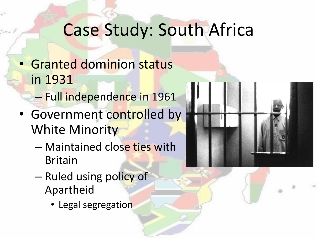### Case Study: South Africa

- Granted dominion status in 1931
	- Full independence in 1961
- Government controlled by White Minority
	- Maintained close ties with Britain
	- Ruled using policy of Apartheid
		- Legal segregation

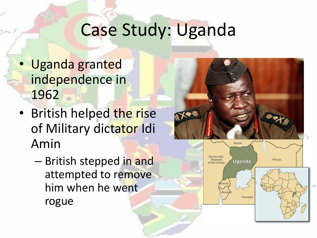## Case Study: Uganda

- Uganda granted independence in 1962
- British helped the rise of Military dictator Idi Amin
	- British stepped in and attempted to remove him when he went rogue



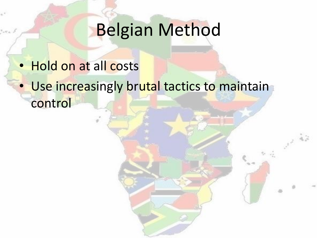# Belgian Method

- Hold on at all costs
- Use increasingly brutal tactics to maintain control